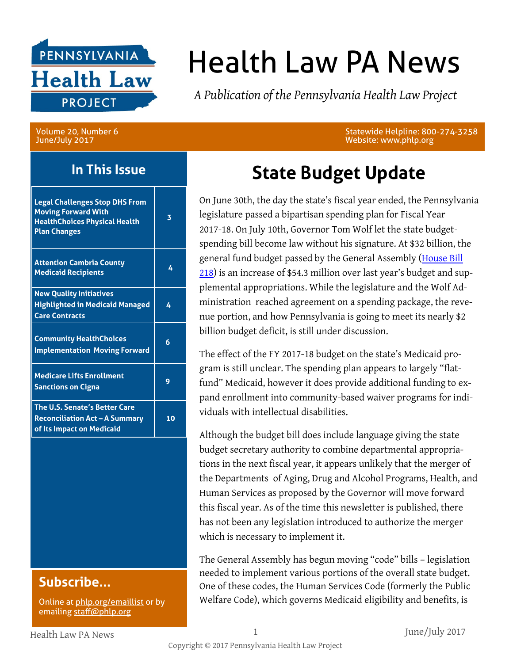

# Health Law PA News

*A Publication of the Pennsylvania Health Law Project*

Volume 20, Number 6 June/July 2017

### **In This Issue**

| <b>Legal Challenges Stop DHS From</b><br><b>Moving Forward With</b><br><b>HealthChoices Physical Health</b><br><b>Plan Changes</b> | 3  |
|------------------------------------------------------------------------------------------------------------------------------------|----|
| <b>Attention Cambria County</b><br><b>Medicaid Recipients</b>                                                                      | 4  |
| <b>New Quality Initiatives</b><br><b>Highlighted in Medicaid Managed</b><br><b>Care Contracts</b>                                  | 4  |
| <b>Community HealthChoices</b><br><b>Implementation Moving Forward</b>                                                             | 6  |
| <b>Medicare Lifts Enrollment</b><br><b>Sanctions on Cigna</b>                                                                      | g  |
| <b>The U.S. Senate's Better Care</b><br><b>Reconciliation Act - A Summary</b><br>of Its Impact on Medicaid                         | 10 |
|                                                                                                                                    |    |

### **Subscribe...**

Online at [phlp.org/emaillist](http://www.phlp.org/home-page/emaillist) or by emailing [staff@phlp.org](mailto:staff@phlp.org)

Statewide Helpline: 800-274-3258 Website: www.phlp.org

# **State Budget Update**

On June 30th, the day the state's fiscal year ended, the Pennsylvania legislature passed a bipartisan spending plan for Fiscal Year 2017-18. On July 10th, Governor Tom Wolf let the state budgetspending bill become law without his signature. At \$32 billion, the general fund budget passed by the General Assembly (House Bill [218](http://www.legis.state.pa.us/cfdocs/legis/PN/Public/btCheck.cfm?txtType=PDF&sessYr=2017&sessInd=0&billBody=H&billTyp=B&billNbr=0218&pn=2196)) is an increase of \$54.3 million over last year's budget and supplemental appropriations. While the legislature and the Wolf Administration reached agreement on a spending package, the revenue portion, and how Pennsylvania is going to meet its nearly \$2 billion budget deficit, is still under discussion.

The effect of the FY 2017-18 budget on the state's Medicaid program is still unclear. The spending plan appears to largely "flatfund" Medicaid, however it does provide additional funding to expand enrollment into community-based waiver programs for individuals with intellectual disabilities.

Although the budget bill does include language giving the state budget secretary authority to combine departmental appropriations in the next fiscal year, it appears unlikely that the merger of the Departments of Aging, Drug and Alcohol Programs, Health, and Human Services as proposed by the Governor will move forward this fiscal year. As of the time this newsletter is published, there has not been any legislation introduced to authorize the merger which is necessary to implement it.

The General Assembly has begun moving "code" bills – legislation needed to implement various portions of the overall state budget. One of these codes, the Human Services Code (formerly the Public Welfare Code), which governs Medicaid eligibility and benefits, is

Health Law PA News 1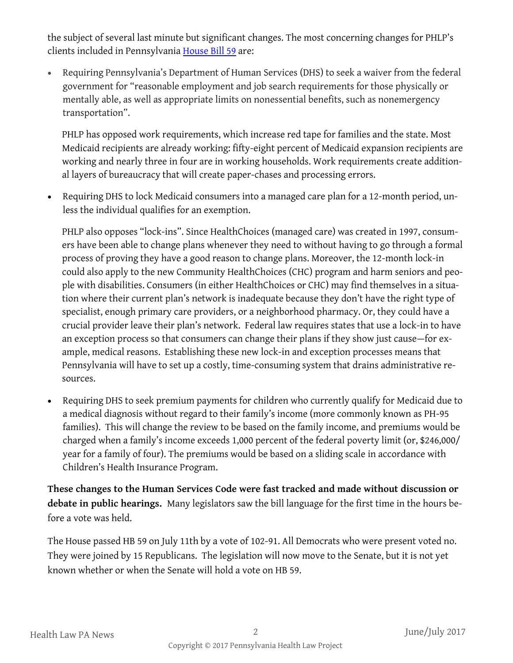the subject of several last minute but significant changes. The most concerning changes for PHLP's clients included in Pennsylvania [House Bill 59](http://www.legis.state.pa.us/CFDOCS/billInfo/billInfo.cfm?syear=2017&sInd=0&body=H&type=B&bn=59) are:

 Requiring Pennsylvania's Department of Human Services (DHS) to seek a waiver from the federal government for "reasonable employment and job search requirements for those physically or mentally able, as well as appropriate limits on nonessential benefits, such as nonemergency transportation".

PHLP has opposed work requirements, which increase red tape for families and the state. Most Medicaid recipients are already working: fifty-eight percent of Medicaid expansion recipients are working and nearly three in four are in working households. Work requirements create additional layers of bureaucracy that will create paper-chases and processing errors.

 Requiring DHS to lock Medicaid consumers into a managed care plan for a 12-month period, unless the individual qualifies for an exemption.

PHLP also opposes "lock-ins". Since HealthChoices (managed care) was created in 1997, consumers have been able to change plans whenever they need to without having to go through a formal process of proving they have a good reason to change plans. Moreover, the 12-month lock-in could also apply to the new Community HealthChoices (CHC) program and harm seniors and people with disabilities. Consumers (in either HealthChoices or CHC) may find themselves in a situation where their current plan's network is inadequate because they don't have the right type of specialist, enough primary care providers, or a neighborhood pharmacy. Or, they could have a crucial provider leave their plan's network. Federal law requires states that use a lock-in to have an exception process so that consumers can change their plans if they show just cause—for example, medical reasons. Establishing these new lock-in and exception processes means that Pennsylvania will have to set up a costly, time-consuming system that drains administrative resources.

 Requiring DHS to seek premium payments for children who currently qualify for Medicaid due to a medical diagnosis without regard to their family's income (more commonly known as PH-95 families). This will change the review to be based on the family income, and premiums would be charged when a family's income exceeds 1,000 percent of the federal poverty limit (or, \$246,000/ year for a family of four). The premiums would be based on a sliding scale in accordance with Children's Health Insurance Program.

**These changes to the Human Services Code were fast tracked and made without discussion or debate in public hearings.** Many legislators saw the bill language for the first time in the hours before a vote was held.

The House passed HB 59 on July 11th by a vote of 102-91. All Democrats who were present voted no. They were joined by 15 Republicans. The legislation will now move to the Senate, but it is not yet known whether or when the Senate will hold a vote on HB 59.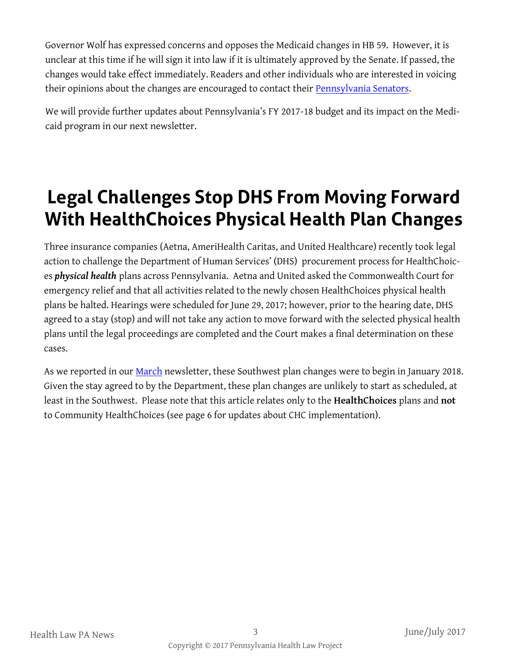Governor Wolf has expressed concerns and opposes the Medicaid changes in HB 59. However, it is unclear at this time if he will sign it into law if it is ultimately approved by the Senate. If passed, the changes would take effect immediately. Readers and other individuals who are interested in voicing their opinions about the changes are encouraged to contact their [Pennsylvania Senators.](http://www.pasen.gov/)

We will provide further updates about Pennsylvania's FY 2017-18 budget and its impact on the Medicaid program in our next newsletter.

# **Legal Challenges Stop DHS From Moving Forward With HealthChoices Physical Health Plan Changes**

Three insurance companies (Aetna, AmeriHealth Caritas, and United Healthcare) recently took legal action to challenge the Department of Human Services' (DHS) procurement process for HealthChoices *physical health* plans across Pennsylvania. Aetna and United asked the Commonwealth Court for emergency relief and that all activities related to the newly chosen HealthChoices physical health plans be halted. Hearings were scheduled for June 29, 2017; however, prior to the hearing date, DHS agreed to a stay (stop) and will not take any action to move forward with the selected physical health plans until the legal proceedings are completed and the Court makes a final determination on these cases.

As we reported in our **[March](http://www.phlp.org/wp-content/uploads/2017/03/March-2017-HLN-Final.pdf)** newsletter, these Southwest plan changes were to begin in January 2018. Given the stay agreed to by the Department, these plan changes are unlikely to start as scheduled, at least in the Southwest. Please note that this article relates only to the **HealthChoices** plans and **not** to Community HealthChoices (see page 6 for updates about CHC implementation).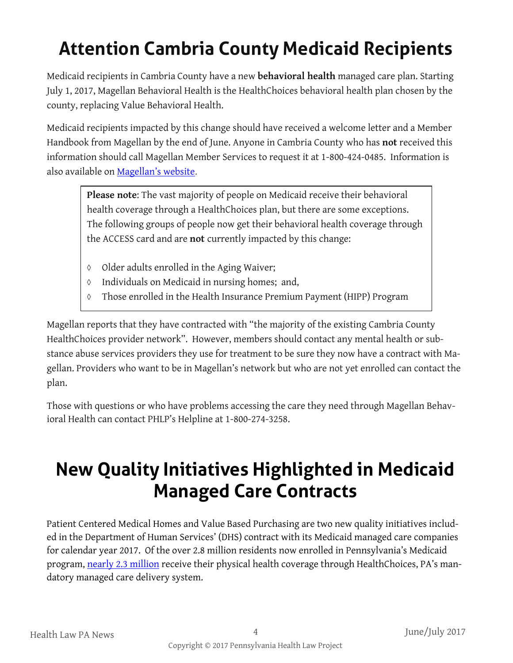# **Attention Cambria County Medicaid Recipients**

Medicaid recipients in Cambria County have a new **behavioral health** managed care plan. Starting July 1, 2017, Magellan Behavioral Health is the HealthChoices behavioral health plan chosen by the county, replacing Value Behavioral Health.

Medicaid recipients impacted by this change should have received a welcome letter and a Member Handbook from Magellan by the end of June. Anyone in Cambria County who has **not** received this information should call Magellan Member Services to request it at 1-800-424-0485. Information is also available on [Magellan's website](http://magellanofpa.com/county-info/cambria-county.aspx).

**Please note**: The vast majority of people on Medicaid receive their behavioral health coverage through a HealthChoices plan, but there are some exceptions. The following groups of people now get their behavioral health coverage through the ACCESS card and are **not** currently impacted by this change:

- $\lozenge$  Older adults enrolled in the Aging Waiver;
- $\lozenge$  Individuals on Medicaid in nursing homes; and,
- Those enrolled in the Health Insurance Premium Payment (HIPP) Program

Magellan reports that they have contracted with "the majority of the existing Cambria County HealthChoices provider network". However, members should contact any mental health or substance abuse services providers they use for treatment to be sure they now have a contract with Magellan. Providers who want to be in Magellan's network but who are not yet enrolled can contact the plan.

Those with questions or who have problems accessing the care they need through Magellan Behavioral Health can contact PHLP's Helpline at 1-800-274-3258.

# **New Quality Initiatives Highlighted in Medicaid Managed Care Contracts**

Patient Centered Medical Homes and Value Based Purchasing are two new quality initiatives included in the Department of Human Services' (DHS) contract with its Medicaid managed care companies for calendar year 2017. Of the over 2.8 million residents now enrolled in Pennsylvania's Medicaid program, [nearly 2.3 million](http://www.dhs.pa.gov/cs/groups/webcontent/documents/document/c_261733.pdf) receive their physical health coverage through HealthChoices, PA's mandatory managed care delivery system.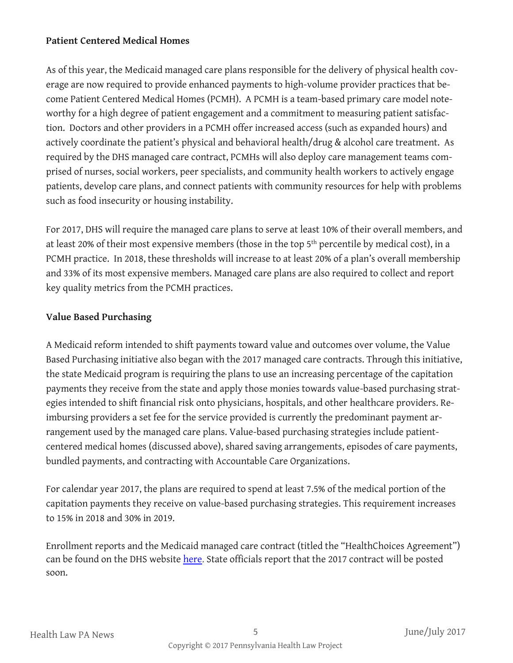#### **Patient Centered Medical Homes**

As of this year, the Medicaid managed care plans responsible for the delivery of physical health coverage are now required to provide enhanced payments to high-volume provider practices that become Patient Centered Medical Homes (PCMH). A PCMH is a team-based primary care model noteworthy for a high degree of patient engagement and a commitment to measuring patient satisfaction. Doctors and other providers in a PCMH offer increased access (such as expanded hours) and actively coordinate the patient's physical and behavioral health/drug & alcohol care treatment. As required by the DHS managed care contract, PCMHs will also deploy care management teams comprised of nurses, social workers, peer specialists, and community health workers to actively engage patients, develop care plans, and connect patients with community resources for help with problems such as food insecurity or housing instability.

For 2017, DHS will require the managed care plans to serve at least 10% of their overall members, and at least 20% of their most expensive members (those in the top 5<sup>th</sup> percentile by medical cost), in a PCMH practice. In 2018, these thresholds will increase to at least 20% of a plan's overall membership and 33% of its most expensive members. Managed care plans are also required to collect and report key quality metrics from the PCMH practices.

#### **Value Based Purchasing**

A Medicaid reform intended to shift payments toward value and outcomes over volume, the Value Based Purchasing initiative also began with the 2017 managed care contracts. Through this initiative, the state Medicaid program is requiring the plans to use an increasing percentage of the capitation payments they receive from the state and apply those monies towards value-based purchasing strategies intended to shift financial risk onto physicians, hospitals, and other healthcare providers. Reimbursing providers a set fee for the service provided is currently the predominant payment arrangement used by the managed care plans. Value-based purchasing strategies include patientcentered medical homes (discussed above), shared saving arrangements, episodes of care payments, bundled payments, and contracting with Accountable Care Organizations.

For calendar year 2017, the plans are required to spend at least 7.5% of the medical portion of the capitation payments they receive on value-based purchasing strategies. This requirement increases to 15% in 2018 and 30% in 2019.

Enrollment reports and the Medicaid managed care contract (titled the "HealthChoices Agreement") can be found on the DHS website [here.](http://www.dhs.pa.gov/provider/healthcaremedicalassistance/managedcareinformation/) State officials report that the 2017 contract will be posted soon.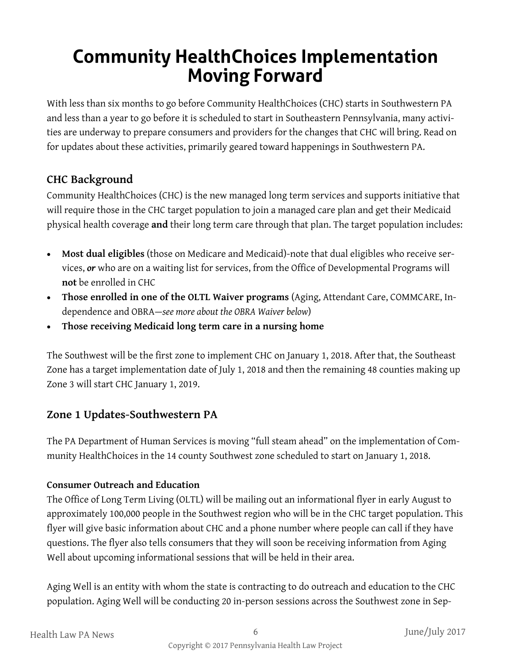# **Community HealthChoices Implementation Moving Forward**

With less than six months to go before Community HealthChoices (CHC) starts in Southwestern PA and less than a year to go before it is scheduled to start in Southeastern Pennsylvania, many activities are underway to prepare consumers and providers for the changes that CHC will bring. Read on for updates about these activities, primarily geared toward happenings in Southwestern PA.

### **CHC Background**

Community HealthChoices (CHC) is the new managed long term services and supports initiative that will require those in the CHC target population to join a managed care plan and get their Medicaid physical health coverage **and** their long term care through that plan. The target population includes:

- **Most dual eligibles** (those on Medicare and Medicaid)-note that dual eligibles who receive services, *or* who are on a waiting list for services, from the Office of Developmental Programs will **not** be enrolled in CHC
- **Those enrolled in one of the OLTL Waiver programs** (Aging, Attendant Care, COMMCARE, Independence and OBRA—*see more about the OBRA Waiver below*)
- **Those receiving Medicaid long term care in a nursing home**

The Southwest will be the first zone to implement CHC on January 1, 2018. After that, the Southeast Zone has a target implementation date of July 1, 2018 and then the remaining 48 counties making up Zone 3 will start CHC January 1, 2019.

### **Zone 1 Updates-Southwestern PA**

The PA Department of Human Services is moving "full steam ahead" on the implementation of Community HealthChoices in the 14 county Southwest zone scheduled to start on January 1, 2018.

#### **Consumer Outreach and Education**

The Office of Long Term Living (OLTL) will be mailing out an informational flyer in early August to approximately 100,000 people in the Southwest region who will be in the CHC target population. This flyer will give basic information about CHC and a phone number where people can call if they have questions. The flyer also tells consumers that they will soon be receiving information from Aging Well about upcoming informational sessions that will be held in their area.

Aging Well is an entity with whom the state is contracting to do outreach and education to the CHC population. Aging Well will be conducting 20 in-person sessions across the Southwest zone in Sep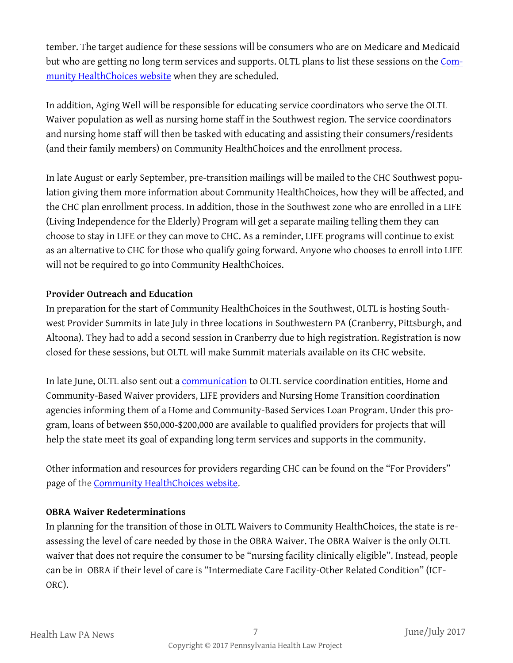tember. The target audience for these sessions will be consumers who are on Medicare and Medicaid but who are getting no long term services and supports. OLTL plans to list these sessions on the [Com](http://www.dhs.pa.gov/citizens/communityhealthchoices/index.htm)[munity HealthChoices website](http://www.dhs.pa.gov/citizens/communityhealthchoices/index.htm) when they are scheduled.

In addition, Aging Well will be responsible for educating service coordinators who serve the OLTL Waiver population as well as nursing home staff in the Southwest region. The service coordinators and nursing home staff will then be tasked with educating and assisting their consumers/residents (and their family members) on Community HealthChoices and the enrollment process.

In late August or early September, pre-transition mailings will be mailed to the CHC Southwest population giving them more information about Community HealthChoices, how they will be affected, and the CHC plan enrollment process. In addition, those in the Southwest zone who are enrolled in a LIFE (Living Independence for the Elderly) Program will get a separate mailing telling them they can choose to stay in LIFE or they can move to CHC. As a reminder, LIFE programs will continue to exist as an alternative to CHC for those who qualify going forward. Anyone who chooses to enroll into LIFE will not be required to go into Community HealthChoices.

#### **Provider Outreach and Education**

In preparation for the start of Community HealthChoices in the Southwest, OLTL is hosting Southwest Provider Summits in late July in three locations in Southwestern PA (Cranberry, Pittsburgh, and Altoona). They had to add a second session in Cranberry due to high registration. Registration is now closed for these sessions, but OLTL will make Summit materials available on its CHC website.

In late June, OLTL also sent out a *communication* to OLTL service coordination entities, Home and Community-Based Waiver providers, LIFE providers and Nursing Home Transition coordination agencies informing them of a Home and Community-Based Services Loan Program. Under this program, loans of between \$50,000-\$200,000 are available to qualified providers for projects that will help the state meet its goal of expanding long term services and supports in the community.

Other information and resources for providers regarding CHC can be found on the "For Providers" page of the [Community HealthChoices website.](http://www.dhs.pa.gov/citizens/communityhealthchoices/index.htm) 

#### **OBRA Waiver Redeterminations**

In planning for the transition of those in OLTL Waivers to Community HealthChoices, the state is reassessing the level of care needed by those in the OBRA Waiver. The OBRA Waiver is the only OLTL waiver that does not require the consumer to be "nursing facility clinically eligible". Instead, people can be in OBRA if their level of care is "Intermediate Care Facility-Other Related Condition" (ICF-ORC).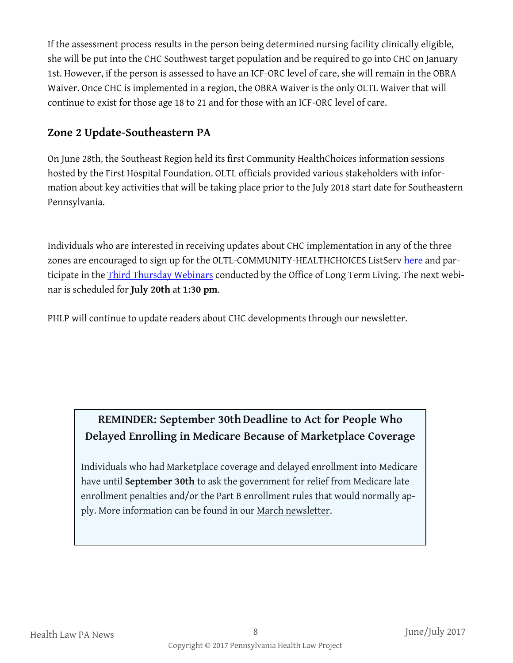If the assessment process results in the person being determined nursing facility clinically eligible, she will be put into the CHC Southwest target population and be required to go into CHC on January 1st. However, if the person is assessed to have an ICF-ORC level of care, she will remain in the OBRA Waiver. Once CHC is implemented in a region, the OBRA Waiver is the only OLTL Waiver that will continue to exist for those age 18 to 21 and for those with an ICF-ORC level of care.

### **Zone 2 Update-Southeastern PA**

On June 28th, the Southeast Region held its first Community HealthChoices information sessions hosted by the First Hospital Foundation. OLTL officials provided various stakeholders with information about key activities that will be taking place prior to the July 2018 start date for Southeastern Pennsylvania.

Individuals who are interested in receiving updates about CHC implementation in any of the three zones are encouraged to sign up for the OLTL-COMMUNITY-HEALTHCHOICES ListServ [here](http://listserv.dpw.state.pa.us/) and participate in the **Third Thursday Webinars** conducted by the Office of Long Term Living. The next webinar is scheduled for **July 20th** at **1:30 pm**.

PHLP will continue to update readers about CHC developments through our newsletter.

## **REMINDER: September 30thDeadline to Act for People Who Delayed Enrolling in Medicare Because of Marketplace Coverage**

Individuals who had Marketplace coverage and delayed enrollment into Medicare have until **September 30th** to ask the government for relief from Medicare late enrollment penalties and/or the Part B enrollment rules that would normally apply. More information can be found in our [March newsletter.](http://www.phlp.org/wp-content/uploads/2017/03/March-2017-HLN-Final.pdf)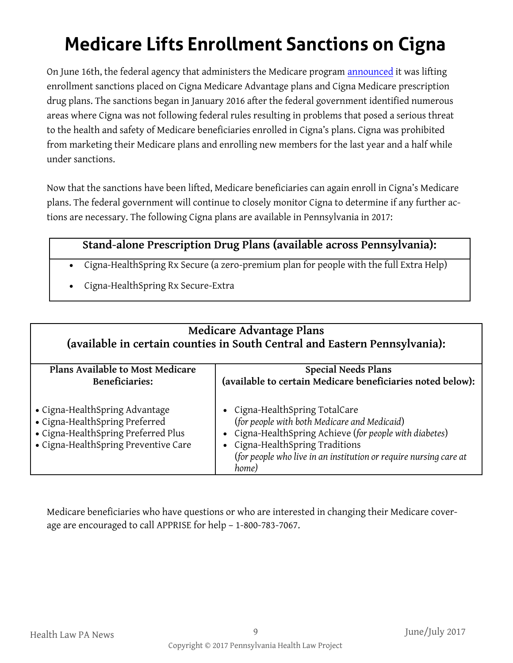# **Medicare Lifts Enrollment Sanctions on Cigna**

On June 16th, the federal agency that administers the Medicare program **[announced](https://www.cms.gov/Medicare/Compliance-and-Audits/Part-C-and-Part-D-Compliance-and-Audits/Downloads/Cigna_Sanction_Release_06_16_17.pdf)** it was lifting enrollment sanctions placed on Cigna Medicare Advantage plans and Cigna Medicare prescription drug plans. The sanctions began in January 2016 after the federal government identified numerous areas where Cigna was not following federal rules resulting in problems that posed a serious threat to the health and safety of Medicare beneficiaries enrolled in Cigna's plans. Cigna was prohibited from marketing their Medicare plans and enrolling new members for the last year and a half while under sanctions.

Now that the sanctions have been lifted, Medicare beneficiaries can again enroll in Cigna's Medicare plans. The federal government will continue to closely monitor Cigna to determine if any further actions are necessary. The following Cigna plans are available in Pennsylvania in 2017:

### **Stand-alone Prescription Drug Plans (available across Pennsylvania):**

- Cigna-HealthSpring Rx Secure (a zero-premium plan for people with the full Extra Help)
- Cigna-HealthSpring Rx Secure-Extra

#### **Medicare Advantage Plans (available in certain counties in South Central and Eastern Pennsylvania): Plans Available to Most Medicare Beneficiaries: Special Needs Plans (available to certain Medicare beneficiaries noted below):** Cigna-HealthSpring Advantage Cigna-HealthSpring Preferred Cigna-HealthSpring Preferred Plus Cigna-HealthSpring Preventive Care Cigna-HealthSpring TotalCare (*for people with both Medicare and Medicaid*) Cigna-HealthSpring Achieve (*for people with diabetes*) Cigna-HealthSpring Traditions (*for people who live in an institution or require nursing care at home)*

Medicare beneficiaries who have questions or who are interested in changing their Medicare coverage are encouraged to call APPRISE for help – 1-800-783-7067.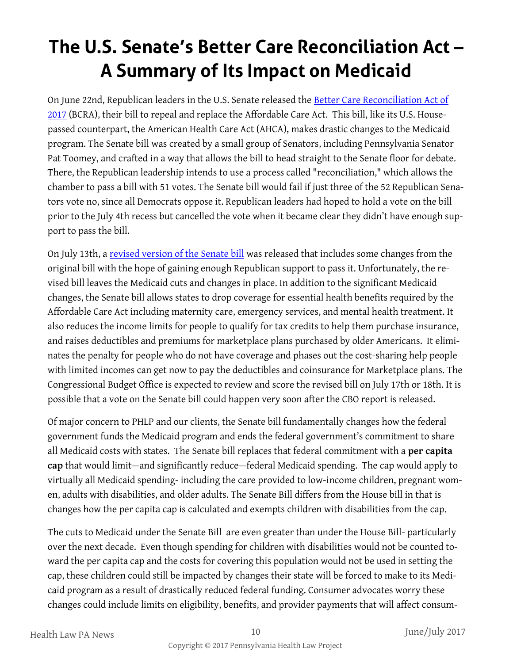# **The U.S. Senate's Better Care Reconciliation Act – A Summary of Its Impact on Medicaid**

On June 22nd, Republican leaders in the U.S. Senate released the [Better Care Reconciliation Act of](https://www.budget.senate.gov/imo/media/doc/SENATEHEALTHCARE.pdf)  [2017](https://www.budget.senate.gov/imo/media/doc/SENATEHEALTHCARE.pdf) (BCRA), their bill to repeal and replace the Affordable Care Act. This bill, like its U.S. Housepassed counterpart, the American Health Care Act (AHCA), makes drastic changes to the Medicaid program. The Senate bill was created by a small group of Senators, including Pennsylvania Senator Pat Toomey, and crafted in a way that allows the bill to head straight to the Senate floor for debate. There, the Republican leadership intends to use a process called "reconciliation," which allows the chamber to pass a bill with 51 votes. The Senate bill would fail if just three of the 52 Republican Senators vote no, since all Democrats oppose it. Republican leaders had hoped to hold a vote on the bill prior to the July 4th recess but cancelled the vote when it became clear they didn't have enough support to pass the bill.

On July 13th, a [revised version of the Senate bill](https://www.budget.senate.gov/imo/media/doc/BetterCareJuly13.2017.pdf) was released that includes some changes from the original bill with the hope of gaining enough Republican support to pass it. Unfortunately, the revised bill leaves the Medicaid cuts and changes in place. In addition to the significant Medicaid changes, the Senate bill allows states to drop coverage for essential health benefits required by the Affordable Care Act including maternity care, emergency services, and mental health treatment. It also reduces the income limits for people to qualify for tax credits to help them purchase insurance, and raises deductibles and premiums for marketplace plans purchased by older Americans. It eliminates the penalty for people who do not have coverage and phases out the cost-sharing help people with limited incomes can get now to pay the deductibles and coinsurance for Marketplace plans. The Congressional Budget Office is expected to review and score the revised bill on July 17th or 18th. It is possible that a vote on the Senate bill could happen very soon after the CBO report is released.

Of major concern to PHLP and our clients, the Senate bill fundamentally changes how the federal government funds the Medicaid program and ends the federal government's commitment to share all Medicaid costs with states. The Senate bill replaces that federal commitment with a **per capita cap** that would limit—and significantly reduce—federal Medicaid spending. The cap would apply to virtually all Medicaid spending- including the care provided to low-income children, pregnant women, adults with disabilities, and older adults. The Senate Bill differs from the House bill in that is changes how the per capita cap is calculated and exempts children with disabilities from the cap.

The cuts to Medicaid under the Senate Bill are even greater than under the House Bill- particularly over the next decade. Even though spending for children with disabilities would not be counted toward the per capita cap and the costs for covering this population would not be used in setting the cap, these children could still be impacted by changes their state will be forced to make to its Medicaid program as a result of drastically reduced federal funding. Consumer advocates worry these changes could include limits on eligibility, benefits, and provider payments that will affect consum-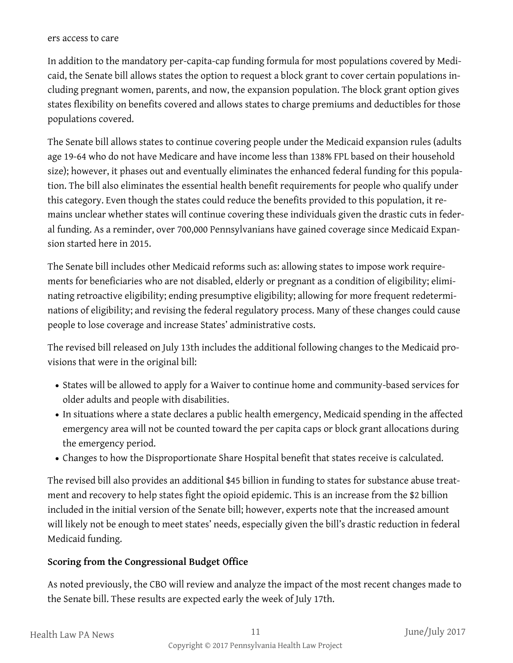#### ers access to care

In addition to the mandatory per-capita-cap funding formula for most populations covered by Medicaid, the Senate bill allows states the option to request a block grant to cover certain populations including pregnant women, parents, and now, the expansion population. The block grant option gives states flexibility on benefits covered and allows states to charge premiums and deductibles for those populations covered.

The Senate bill allows states to continue covering people under the Medicaid expansion rules (adults age 19-64 who do not have Medicare and have income less than 138% FPL based on their household size); however, it phases out and eventually eliminates the enhanced federal funding for this population. The bill also eliminates the essential health benefit requirements for people who qualify under this category. Even though the states could reduce the benefits provided to this population, it remains unclear whether states will continue covering these individuals given the drastic cuts in federal funding. As a reminder, over 700,000 Pennsylvanians have gained coverage since Medicaid Expansion started here in 2015.

The Senate bill includes other Medicaid reforms such as: allowing states to impose work requirements for beneficiaries who are not disabled, elderly or pregnant as a condition of eligibility; eliminating retroactive eligibility; ending presumptive eligibility; allowing for more frequent redeterminations of eligibility; and revising the federal regulatory process. Many of these changes could cause people to lose coverage and increase States' administrative costs.

The revised bill released on July 13th includes the additional following changes to the Medicaid provisions that were in the original bill:

- States will be allowed to apply for a Waiver to continue home and community-based services for older adults and people with disabilities.
- In situations where a state declares a public health emergency, Medicaid spending in the affected emergency area will not be counted toward the per capita caps or block grant allocations during the emergency period.
- Changes to how the Disproportionate Share Hospital benefit that states receive is calculated.

The revised bill also provides an additional \$45 billion in funding to states for substance abuse treatment and recovery to help states fight the opioid epidemic. This is an increase from the \$2 billion included in the initial version of the Senate bill; however, experts note that the increased amount will likely not be enough to meet states' needs, especially given the bill's drastic reduction in federal Medicaid funding.

#### **Scoring from the Congressional Budget Office**

As noted previously, the CBO will review and analyze the impact of the most recent changes made to the Senate bill. These results are expected early the week of July 17th.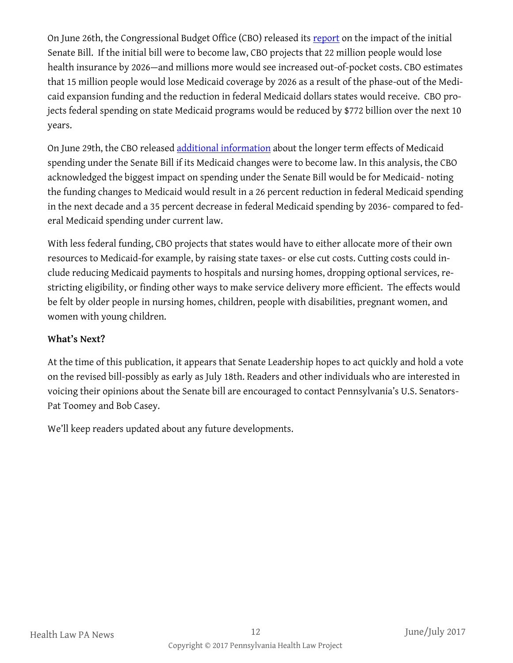On June 26th, the Congressional Budget Office (CBO) released its [report](https://www.cbo.gov/publication/52849) on the impact of the initial Senate Bill. If the initial bill were to become law, CBO projects that 22 million people would lose health insurance by 2026—and millions more would see increased out-of-pocket costs. CBO estimates that 15 million people would lose Medicaid coverage by 2026 as a result of the phase-out of the Medicaid expansion funding and the reduction in federal Medicaid dollars states would receive. CBO projects federal spending on state Medicaid programs would be reduced by \$772 billion over the next 10 years.

On June 29th, the CBO released [additional information](https://www.cbo.gov/system/files/115th-congress-2017-2018/reports/52859-medicaid.pdf) about the longer term effects of Medicaid spending under the Senate Bill if its Medicaid changes were to become law. In this analysis, the CBO acknowledged the biggest impact on spending under the Senate Bill would be for Medicaid- noting the funding changes to Medicaid would result in a 26 percent reduction in federal Medicaid spending in the next decade and a 35 percent decrease in federal Medicaid spending by 2036- compared to federal Medicaid spending under current law.

With less federal funding, CBO projects that states would have to either allocate more of their own resources to Medicaid-for example, by raising state taxes- or else cut costs. Cutting costs could include reducing Medicaid payments to hospitals and nursing homes, dropping optional services, restricting eligibility, or finding other ways to make service delivery more efficient. The effects would be felt by older people in nursing homes, children, people with disabilities, pregnant women, and women with young children.

#### **What's Next?**

At the time of this publication, it appears that Senate Leadership hopes to act quickly and hold a vote on the revised bill-possibly as early as July 18th. Readers and other individuals who are interested in voicing their opinions about the Senate bill are encouraged to contact Pennsylvania's U.S. Senators-Pat Toomey and Bob Casey.

We'll keep readers updated about any future developments.